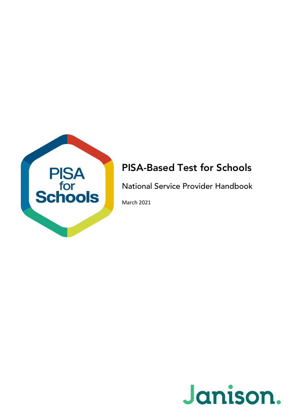

### PISA-Based Test for Schools

National Service Provider Handbook

March 2021

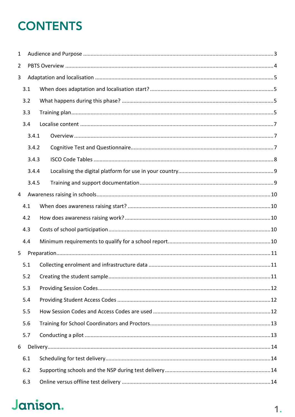## **CONTENTS**

| $\mathbf{1}$   |       |  |  |  |
|----------------|-------|--|--|--|
| $\overline{2}$ |       |  |  |  |
| 3              |       |  |  |  |
|                | 3.1   |  |  |  |
|                | 3.2   |  |  |  |
|                | 3.3   |  |  |  |
|                | 3.4   |  |  |  |
|                | 3.4.1 |  |  |  |
|                | 3.4.2 |  |  |  |
|                | 3.4.3 |  |  |  |
|                | 3.4.4 |  |  |  |
|                | 3.4.5 |  |  |  |
| $\overline{4}$ |       |  |  |  |
|                | 4.1   |  |  |  |
|                | 4.2   |  |  |  |
|                | 4.3   |  |  |  |
|                | 4.4   |  |  |  |
| 5              |       |  |  |  |
|                | 5.1   |  |  |  |
|                | 5.2   |  |  |  |
|                | 5.3   |  |  |  |
|                | 5.4   |  |  |  |
|                | 5.5   |  |  |  |
|                | 5.6   |  |  |  |
|                | 5.7   |  |  |  |
| 6              |       |  |  |  |
|                | 6.1   |  |  |  |
|                | 6.2   |  |  |  |
|                | 6.3   |  |  |  |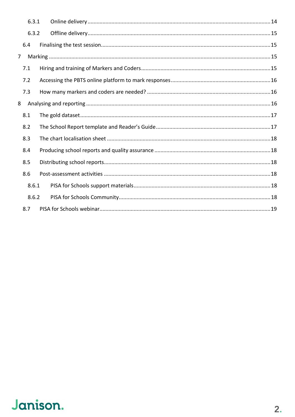|                | 6.3.1 |  |  |
|----------------|-------|--|--|
|                | 6.3.2 |  |  |
|                | 6.4   |  |  |
| $\overline{7}$ |       |  |  |
|                | 7.1   |  |  |
|                | 7.2   |  |  |
|                | 7.3   |  |  |
| 8              |       |  |  |
|                | 8.1   |  |  |
|                | 8.2   |  |  |
|                | 8.3   |  |  |
|                | 8.4   |  |  |
|                | 8.5   |  |  |
|                | 8.6   |  |  |
|                | 8.6.1 |  |  |
|                | 8.6.2 |  |  |
|                | 8.7   |  |  |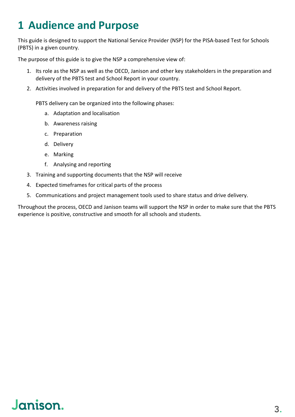## <span id="page-3-0"></span>**1 Audience and Purpose**

This guide is designed to support the National Service Provider (NSP) for the PISA-based Test for Schools (PBTS) in a given country.

The purpose of this guide is to give the NSP a comprehensive view of:

- 1. Its role as the NSP as well as the OECD, Janison and other key stakeholders in the preparation and delivery of the PBTS test and School Report in your country.
- 2. Activities involved in preparation for and delivery of the PBTS test and School Report.

PBTS delivery can be organized into the following phases:

- a. Adaptation and localisation
- b. Awareness raising
- c. Preparation
- d. Delivery
- e. Marking
- f. Analysing and reporting
- 3. Training and supporting documents that the NSP will receive
- 4. Expected timeframes for critical parts of the process
- 5. Communications and project management tools used to share status and drive delivery.

Throughout the process, OECD and Janison teams will support the NSP in order to make sure that the PBTS experience is positive, constructive and smooth for all schools and students.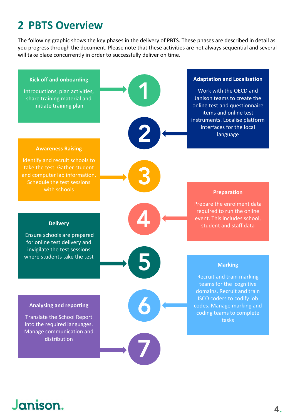## <span id="page-4-0"></span>**2 PBTS Overview**

The following graphic shows the key phases in the delivery of PBTS. These phases are described in detail as you progress through the document. Please note that these activities are not always sequential and several will take place concurrently in order to successfully deliver on time.

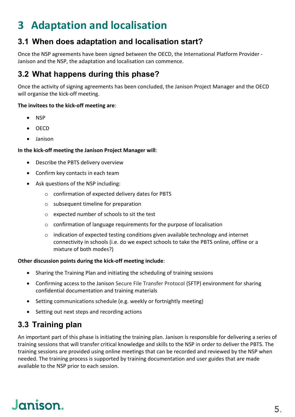## <span id="page-5-0"></span>**3 Adaptation and localisation**

### <span id="page-5-1"></span>**3.1 When does adaptation and localisation start?**

Once the NSP agreements have been signed between the OECD, the International Platform Provider - Janison and the NSP, the adaptation and localisation can commence.

### <span id="page-5-2"></span>**3.2 What happens during this phase?**

Once the activity of signing agreements has been concluded, the Janison Project Manager and the OECD will organise the kick-off meeting.

#### **The invitees to the kick-off meeting are**:

- NSP
- OECD
- Janison

#### **In the kick-off meeting the Janison Project Manager will**:

- Describe the PBTS delivery overview
- Confirm key contacts in each team
- Ask questions of the NSP including:
	- o confirmation of expected delivery dates for PBTS
	- o subsequent timeline for preparation
	- o expected number of schools to sit the test
	- o confirmation of language requirements for the purpose of localisation
	- $\circ$  indication of expected testing conditions given available technology and internet connectivity in schools (i.e. do we expect schools to take the PBTS online, offline or a mixture of both modes?)

#### **Other discussion points during the kick-off meeting include**:

- Sharing the Training Plan and initiating the scheduling of training sessions
- Confirming access to the Janison Secure File Transfer Protocol (SFTP) environment for sharing confidential documentation and training materials
- Setting communications schedule (e.g. weekly or fortnightly meeting)
- Setting out next steps and recording actions

### <span id="page-5-3"></span>**3.3 Training plan**

An important part of this phase is initiating the training plan. Janison is responsible for delivering a series of training sessions that will transfer critical knowledge and skills to the NSP in order to deliver the PBTS. The training sessions are provided using online meetings that can be recorded and reviewed by the NSP when needed. The training process is supported by training documentation and user guides that are made available to the NSP prior to each session.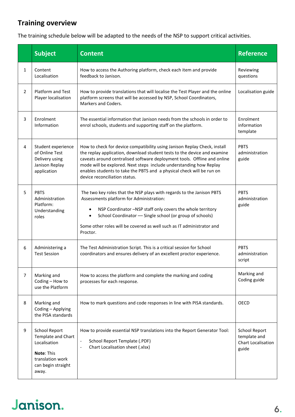#### **Training overview**

The training schedule below will be adapted to the needs of the NSP to support critical activities.

|                | <b>Subject</b>                                                                                                       | <b>Content</b>                                                                                                                                                                                                                                                                                                                                                                                                    | <b>Reference</b>                                                    |  |  |
|----------------|----------------------------------------------------------------------------------------------------------------------|-------------------------------------------------------------------------------------------------------------------------------------------------------------------------------------------------------------------------------------------------------------------------------------------------------------------------------------------------------------------------------------------------------------------|---------------------------------------------------------------------|--|--|
| $\mathbf{1}$   | Content<br>Localisation                                                                                              | How to access the Authoring platform, check each item and provide<br>feedback to Janison.                                                                                                                                                                                                                                                                                                                         | Reviewing<br>questions                                              |  |  |
| $\overline{2}$ | <b>Platform and Test</b><br>Player localisation                                                                      | How to provide translations that will localise the Test Player and the online<br>platform screens that will be accessed by NSP, School Coordinators,<br>Markers and Coders.                                                                                                                                                                                                                                       | Localisation guide                                                  |  |  |
| 3              | Enrolment<br>Information                                                                                             | The essential information that Janison needs from the schools in order to<br>enrol schools, students and supporting staff on the platform.<br>template                                                                                                                                                                                                                                                            |                                                                     |  |  |
| 4              | Student experience<br>of Online Test<br>Delivery using<br>Janison Replay<br>application                              | How to check for device compatibility using Janison Replay Check, install<br>the replay application, download student tests to the device and examine<br>caveats around centralised software deployment tools. Offline and online<br>mode will be explored. Next steps include understanding how Replay<br>enables students to take the PBTS and a physical check will be run on<br>device reconciliation status. |                                                                     |  |  |
| 5              | <b>PBTS</b><br>Administration<br>Platform:<br>Understanding<br>roles                                                 | The two key roles that the NSP plays with regards to the Janison PBTS<br>Assessments platform for Administration:<br>NSP Coordinator -NSP staff only covers the whole territory<br>School Coordinator - Single school (or group of schools)<br>$\bullet$<br>Some other roles will be covered as well such as IT administrator and<br>Proctor.                                                                     | <b>PBTS</b><br>administration<br>guide                              |  |  |
| 6              | Administering a<br><b>Test Session</b>                                                                               | The Test Administration Script. This is a critical session for School<br>coordinators and ensures delivery of an excellent proctor experience.                                                                                                                                                                                                                                                                    |                                                                     |  |  |
| 7              | Marking and<br>Coding - How to<br>use the Platform                                                                   | How to access the platform and complete the marking and coding<br>processes for each response.                                                                                                                                                                                                                                                                                                                    |                                                                     |  |  |
| 8              | Marking and<br>Coding - Applying<br>the PISA standards                                                               | How to mark questions and code responses in line with PISA standards.                                                                                                                                                                                                                                                                                                                                             |                                                                     |  |  |
| 9              | School Report<br>Template and Chart<br>Localisation<br>Note: This<br>translation work<br>can begin straight<br>away. | How to provide essential NSP translations into the Report Generator Tool:<br>School Report Template (.PDF)<br>$\Box$<br>Chart Localisation sheet (.xlsx)<br>$\blacksquare$                                                                                                                                                                                                                                        | School Report<br>template and<br><b>Chart Localisation</b><br>guide |  |  |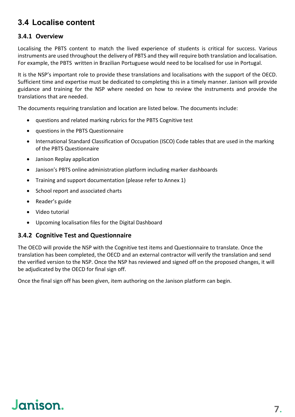### <span id="page-7-0"></span>**3.4 Localise content**

#### <span id="page-7-1"></span>**3.4.1 Overview**

Localising the PBTS content to match the lived experience of students is critical for success. Various instruments are used throughout the delivery of PBTS and they will require both translation and localisation. For example, the PBTS written in Brazilian Portuguese would need to be localised for use in Portugal.

It is the NSP's important role to provide these translations and localisations with the support of the OECD. Sufficient time and expertise must be dedicated to completing this in a timely manner. Janison will provide guidance and training for the NSP where needed on how to review the instruments and provide the translations that are needed.

The documents requiring translation and location are listed below. The documents include:

- questions and related marking rubrics for the PBTS Cognitive test
- questions in the PBTS Questionnaire
- International Standard Classification of Occupation (ISCO) Code tables that are used in the marking of the PBTS Questionnaire
- Janison Replay application
- Janison's PBTS online administration platform including marker dashboards
- Training and support documentation (please refer to Annex 1)
- School report and associated charts
- Reader's guide
- Video tutorial
- Upcoming localisation files for the Digital Dashboard

#### <span id="page-7-2"></span>**3.4.2 Cognitive Test and Questionnaire**

The OECD will provide the NSP with the Cognitive test items and Questionnaire to translate. Once the translation has been completed, the OECD and an external contractor will verify the translation and send the verified version to the NSP. Once the NSP has reviewed and signed off on the proposed changes, it will be adjudicated by the OECD for final sign off.

Once the final sign off has been given, item authoring on the Janison platform can begin.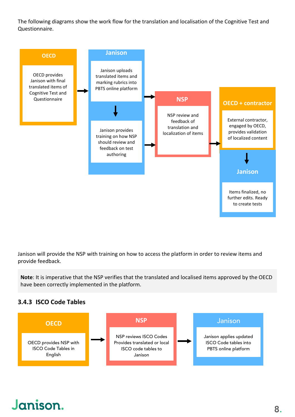The following diagrams show the work flow for the translation and localisation of the Cognitive Test and Questionnaire.



Janison will provide the NSP with training on how to access the platform in order to review items and provide feedback.

**Note**: It is imperative that the NSP verifies that the translated and localised items approved by the OECD have been correctly implemented in the platform.

#### <span id="page-8-0"></span>**3.4.3 ISCO Code Tables**

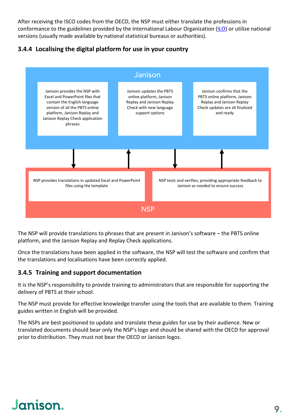After receiving the ISCO codes from the OECD, the NSP must either translate the professions in conformance to the guidelines provided by the International Labour Organization [\(ILO\)](https://www.ilo.org/wcmsp5/groups/public/---dgreports/---dcomm/---publ/documents/publication/wcms_172572.pdf) or utilize national versions (usually made available by national statistical bureaus or authorities).

#### <span id="page-9-0"></span>**3.4.4 Localising the digital platform for use in your country**



The NSP will provide translations to phrases that are present in Janison's software – the PBTS online platform, and the Janison Replay and Replay Check applications.

Once the translations have been applied in the software, the NSP will test the software and confirm that the translations and localisations have been correctly applied.

#### <span id="page-9-1"></span>**3.4.5 Training and support documentation**

It is the NSP's responsibility to provide training to administrators that are responsible for supporting the delivery of PBTS at their school.

The NSP must provide for effective knowledge transfer using the tools that are available to them. Training guides written in English will be provided.

The NSPs are best positioned to update and translate these guides for use by their audience. New or translated documents should bear only the NSP's logo and should be shared with the OECD for approval prior to distribution. They must not bear the OECD or Janison logos.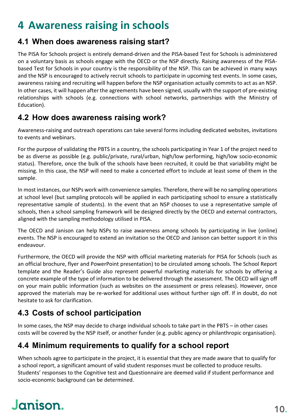## <span id="page-10-0"></span>**4 Awareness raising in schools**

### <span id="page-10-1"></span>**4.1 When does awareness raising start?**

The PISA for Schools project is entirely demand-driven and the PISA-based Test for Schools is administered on a voluntary basis as schools engage with the OECD or the NSP directly. Raising awareness of the PISAbased Test for Schools in your country is the responsibility of the NSP. This can be achieved in many ways and the NSP is encouraged to actively recruit schools to participate in upcoming test events. In some cases, awareness raising and recruiting will happen before the NSP organisation actually commits to act as an NSP. In other cases, it will happen after the agreements have been signed, usually with the support of pre-existing relationships with schools (e.g. connections with school networks, partnerships with the Ministry of Education).

### <span id="page-10-2"></span>**4.2 How does awareness raising work?**

Awareness-raising and outreach operations can take several forms including dedicated websites, invitations to events and webinars.

For the purpose of validating the PBTS in a country, the schools participating in Year 1 of the project need to be as diverse as possible (e.g. public/private, rural/urban, high/low performing, high/low socio-economic status). Therefore, once the bulk of the schools have been recruited, it could be that variability might be missing. In this case, the NSP will need to make a concerted effort to include at least some of them in the sample.

In most instances, our NSPs work with convenience samples. Therefore, there will be no sampling operations at school level (but sampling protocols will be applied in each participating school to ensure a statistically representative sample of students). In the event that an NSP chooses to use a representative sample of schools, then a school sampling framework will be designed directly by the OECD and external contractors, aligned with the sampling methodology utilised in PISA.

The OECD and Janison can help NSPs to raise awareness among schools by participating in live (online) events. The NSP is encouraged to extend an invitation so the OECD and Janison can better support it in this endeavour.

Furthermore, the OECD will provide the NSP with official marketing materials for PISA for Schools (such as an official brochure, flyer and PowerPoint presentation) to be circulated among schools. The School Report template and the Reader's Guide also represent powerful marketing materials for schools by offering a concrete example of the type of information to be delivered through the assessment. The OECD will sign off on your main public information (such as websites on the assessment or press releases). However, once approved the materials may be re-worked for additional uses without further sign off. If in doubt, do not hesitate to ask for clarification.

### <span id="page-10-3"></span>**4.3 Costs of school participation**

In some cases, the NSP may decide to charge individual schools to take part in the PBTS – in other cases costs will be covered by the NSP itself, or another funder (e.g. public agency or philanthropic organisation).

### <span id="page-10-4"></span>**4.4 Minimum requirements to qualify for a school report**

When schools agree to participate in the project, it is essential that they are made aware that to qualify for a school report, a significant amount of valid student responses must be collected to produce results. Students' responses to the Cognitive test and Questionnaire are deemed valid if student performance and socio-economic background can be determined.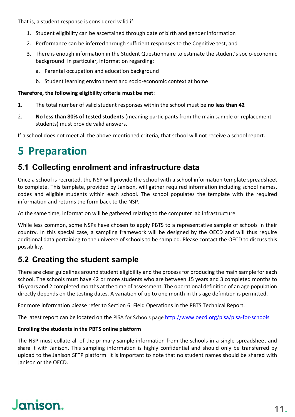That is, a student response is considered valid if:

- 1. Student eligibility can be ascertained through date of birth and gender information
- 2. Performance can be inferred through sufficient responses to the Cognitive test, and
- 3. There is enough information in the Student Questionnaire to estimate the student's socio-economic background. In particular, information regarding:
	- a. Parental occupation and education background
	- b. Student learning environment and socio-economic context at home

#### **Therefore, the following eligibility criteria must be met**:

- 1. The total number of valid student responses within the school must be **no less than 42**
- 2. **No less than 80% of tested students** (meaning participants from the main sample or replacement students) must provide valid answers.

If a school does not meet all the above-mentioned criteria, that school will not receive a school report.

### <span id="page-11-0"></span>**5 Preparation**

#### <span id="page-11-1"></span>**5.1 Collecting enrolment and infrastructure data**

Once a school is recruited, the NSP will provide the school with a school information template spreadsheet to complete. This template, provided by Janison, will gather required information including school names, codes and eligible students within each school. The school populates the template with the required information and returns the form back to the NSP.

At the same time, information will be gathered relating to the computer lab infrastructure.

While less common, some NSPs have chosen to apply PBTS to a representative sample of schools in their country. In this special case, a sampling framework will be designed by the OECD and will thus require additional data pertaining to the universe of schools to be sampled. Please contact the OECD to discuss this possibility.

#### <span id="page-11-2"></span>**5.2 Creating the student sample**

There are clear guidelines around student eligibility and the process for producing the main sample for each school. The schools must have 42 or more students who are between 15 years and 3 completed months to 16 years and 2 completed months at the time of assessment. The operational definition of an age population directly depends on the testing dates. A variation of up to one month in this age definition is permitted.

For more information please refer to Section 6: Field Operations in the PBTS Technical Report.

The latest report can be located on the PISA for Schools page <http://www.oecd.org/pisa/pisa-for-schools>

#### **Enrolling the students in the PBTS online platform**

The NSP must collate all of the primary sample information from the schools in a single spreadsheet and share it with Janison. This sampling information is highly confidential and should only be transferred by upload to the Janison SFTP platform. It is important to note that no student names should be shared with Janison or the OECD.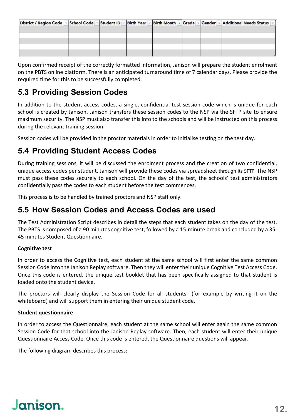|  |  |  | District / Region Code - School Code - Student ID - Birth Year - Birth Month - Grade - Gender - Additional Needs Status - |
|--|--|--|---------------------------------------------------------------------------------------------------------------------------|
|  |  |  |                                                                                                                           |
|  |  |  |                                                                                                                           |
|  |  |  |                                                                                                                           |
|  |  |  |                                                                                                                           |
|  |  |  |                                                                                                                           |

Upon confirmed receipt of the correctly formatted information, Janison will prepare the student enrolment on the PBTS online platform. There is an anticipated turnaround time of 7 calendar days. Please provide the required time for this to be successfully completed.

### <span id="page-12-0"></span>**5.3 Providing Session Codes**

In addition to the student access codes, a single, confidential test session code which is unique for each school is created by Janison. Janison transfers these session codes to the NSP via the SFTP site to ensure maximum security. The NSP must also transfer this info to the schools and will be instructed on this process during the relevant training session.

Session codes will be provided in the proctor materials in order to initialise testing on the test day.

### <span id="page-12-1"></span>**5.4 Providing Student Access Codes**

During training sessions, it will be discussed the enrolment process and the creation of two confidential, unique access codes per student. Janison will provide these codes via spreadsheet through its SFTP. The NSP must pass these codes securely to each school. On the day of the test, the schools' test administrators confidentially pass the codes to each student before the test commences.

This process is to be handled by trained proctors and NSP staff only.

#### <span id="page-12-2"></span>**5.5 How Session Codes and Access Codes are used**

The Test Administration Script describes in detail the steps that each student takes on the day of the test. The PBTS is composed of a 90 minutes cognitive test, followed by a 15-minute break and concluded by a 35- 45 minutes Student Questionnaire.

#### **Cognitive test**

In order to access the Cognitive test, each student at the same school will first enter the same common Session Code into the Janison Replay software. Then they will enter their unique Cognitive Test Access Code. Once this code is entered, the unique test booklet that has been specifically assigned to that student is loaded onto the student device.

The proctors will clearly display the Session Code for all students (for example by writing it on the whiteboard) and will support them in entering their unique student code.

#### **Student questionnaire**

In order to access the Questionnaire, each student at the same school will enter again the same common Session Code for that school into the Janison Replay software. Then, each student will enter their unique Questionnaire Access Code. Once this code is entered, the Questionnaire questions will appear.

The following diagram describes this process: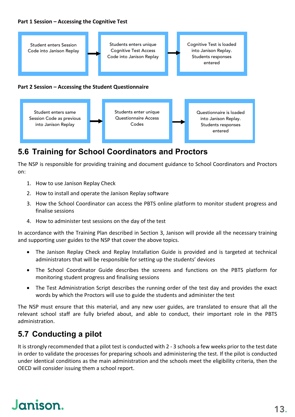#### **Part 1 Session – Accessing the Cognitive Test**



### <span id="page-13-0"></span>**5.6 Training for School Coordinators and Proctors**

The NSP is responsible for providing training and document guidance to School Coordinators and Proctors on:

- 1. How to use Janison Replay Check
- 2. How to install and operate the Janison Replay software
- 3. How the School Coordinator can access the PBTS online platform to monitor student progress and finalise sessions
- 4. How to administer test sessions on the day of the test

In accordance with the Training Plan described in Section 3, Janison will provide all the necessary training and supporting user guides to the NSP that cover the above topics.

- The Janison Replay Check and Replay Installation Guide is provided and is targeted at technical administrators that will be responsible for setting up the students' devices
- The School Coordinator Guide describes the screens and functions on the PBTS platform for monitoring student progress and finalising sessions
- The Test Administration Script describes the running order of the test day and provides the exact words by which the Proctors will use to guide the students and administer the test

The NSP must ensure that this material, and any new user guides, are translated to ensure that all the relevant school staff are fully briefed about, and able to conduct, their important role in the PBTS administration.

### <span id="page-13-1"></span>**5.7 Conducting a pilot**

It is strongly recommended that a pilot test is conducted with 2 - 3 schools a few weeks prior to the test date in order to validate the processes for preparing schools and administering the test. If the pilot is conducted under identical conditions as the main administration and the schools meet the eligibility criteria, then the OECD will consider issuing them a school report.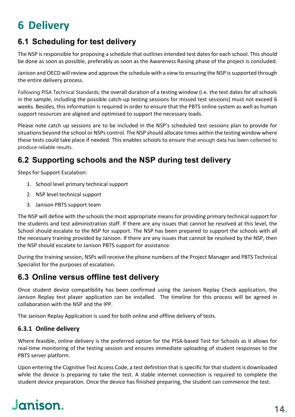## <span id="page-14-0"></span>**6 Delivery**

### <span id="page-14-1"></span>**6.1 Scheduling for test delivery**

The NSP is responsible for proposing a schedule that outlines intended test dates for each school. This should be done as soon as possible, preferably as soon as the Awareness Raising phase of the project is concluded.

Janison and OECD will review and approve the schedule with a view to ensuring the NSP is supported through the entire delivery process.

Following PISA Technical Standards, the overall duration of a testing window (i.e. the test dates for all schools in the sample, including the possible catch-up testing sessions for missed test sessions) must not exceed 6 weeks. Besides, this information is required in order to ensure that the PBTS online system as well as human support resources are aligned and optimised to support the necessary loads.

Please note catch up sessions are to be included in the NSP's scheduled test sessions plan to provide for situations beyond the school or NSPs control. The NSP should allocate times within the testing window where these tests could take place if needed. This enables schools to ensure that enough data has been collected to produce reliable results.

### <span id="page-14-2"></span>**6.2 Supporting schools and the NSP during test delivery**

Steps for Support Escalation:

- 1. School level primary technical support
- 2. NSP level technical support
- 3. Janison PBTS support team

The NSP will define with the schools the most appropriate means for providing primary technical support for the students and test administration staff. If there are any issues that cannot be resolved at this level, the School should escalate to the NSP for support. The NSP has been prepared to support the schools with all the necessary training provided by Janison. If there are any issues that cannot be resolved by the NSP, then the NSP should escalate to Janison PBTS support for assistance.

During the training session, NSPs will receive the phone numbers of the Project Manager and PBTS Technical Specialist for the purposes of escalation.

### <span id="page-14-3"></span>**6.3 Online versus offline test delivery**

Once student device compatibility has been confirmed using the Janison Replay Check application, the Janison Replay test player application can be installed. The timeline for this process will be agreed in collaboration with the NSP and the IPP.

The Janison Replay Application is used for both online and offline delivery of tests.

#### <span id="page-14-4"></span>**6.3.1 Online delivery**

Where feasible, online delivery is the preferred option for the PISA-based Test for Schools as it allows for real-time monitoring of the testing session and ensures immediate uploading of student responses to the PBTS server platform.

Upon entering the Cognitive Test Access Code, a test definition that is specific for that student is downloaded while the device is preparing to take the test. A stable internet connection is required to complete the student device preparation. Once the device has finished preparing, the student can commence the test.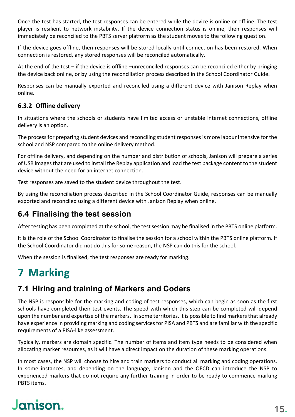Once the test has started, the test responses can be entered while the device is online or offline. The test player is resilient to network instability. If the device connection status is online, then responses will immediately be reconciled to the PBTS server platform as the student moves to the following question.

If the device goes offline, then responses will be stored locally until connection has been restored. When connection is restored, any stored responses will be reconciled automatically.

At the end of the test – if the device is offline –unreconciled responses can be reconciled either by bringing the device back online, or by using the reconciliation process described in the School Coordinator Guide.

Responses can be manually exported and reconciled using a different device with Janison Replay when online.

#### <span id="page-15-0"></span>**6.3.2 Offline delivery**

In situations where the schools or students have limited access or unstable internet connections, offline delivery is an option.

The process for preparing student devices and reconciling student responses is more labour intensive for the school and NSP compared to the online delivery method.

For offline delivery, and depending on the number and distribution of schools, Janison will prepare a series of USB images that are used to install the Replay application and load the test package content to the student device without the need for an internet connection.

Test responses are saved to the student device throughout the test.

By using the reconciliation process described in the School Coordinator Guide, responses can be manually exported and reconciled using a different device with Janison Replay when online.

#### <span id="page-15-1"></span>**6.4 Finalising the test session**

After testing has been completed at the school, the test session may be finalised in the PBTS online platform.

It is the role of the School Coordinator to finalise the session for a school within the PBTS online platform. If the School Coordinator did not do this for some reason, the NSP can do this for the school.

When the session is finalised, the test responses are ready for marking.

### <span id="page-15-2"></span>**7 Marking**

### <span id="page-15-3"></span>**7.1 Hiring and training of Markers and Coders**

The NSP is responsible for the marking and coding of test responses, which can begin as soon as the first schools have completed their test events. The speed with which this step can be completed will depend upon the number and expertise of the markers. In some territories, it is possible to find markers that already have experience in providing marking and coding services for PISA and PBTS and are familiar with the specific requirements of a PISA-like assessment.

Typically, markers are domain specific. The number of items and item type needs to be considered when allocating marker resources, as it will have a direct impact on the duration of these marking operations.

In most cases, the NSP will choose to hire and train markers to conduct all marking and coding operations. In some instances, and depending on the language, Janison and the OECD can introduce the NSP to experienced markers that do not require any further training in order to be ready to commence marking PBTS items.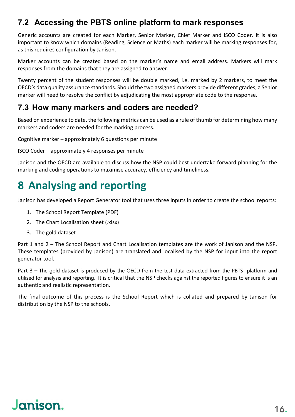### <span id="page-16-0"></span>**7.2 Accessing the PBTS online platform to mark responses**

Generic accounts are created for each Marker, Senior Marker, Chief Marker and ISCO Coder. It is also important to know which domains (Reading, Science or Maths) each marker will be marking responses for, as this requires configuration by Janison.

Marker accounts can be created based on the marker's name and email address. Markers will mark responses from the domains that they are assigned to answer.

Twenty percent of the student responses will be double marked, i.e. marked by 2 markers, to meet the OECD's data quality assurance standards. Should the two assigned markers provide different grades, a Senior marker will need to resolve the conflict by adjudicating the most appropriate code to the response.

#### <span id="page-16-1"></span>**7.3 How many markers and coders are needed?**

Based on experience to date, the following metrics can be used as a rule of thumb for determining how many markers and coders are needed for the marking process.

Cognitive marker – approximately 6 questions per minute

ISCO Coder – approximately 4 responses per minute

Janison and the OECD are available to discuss how the NSP could best undertake forward planning for the marking and coding operations to maximise accuracy, efficiency and timeliness.

## <span id="page-16-2"></span>**8 Analysing and reporting**

Janison has developed a Report Generator tool that uses three inputs in order to create the school reports:

- 1. The School Report Template (PDF)
- 2. The Chart Localisation sheet (.xlsx)
- 3. The gold dataset

Part 1 and 2 – The School Report and Chart Localisation templates are the work of Janison and the NSP. These templates (provided by Janison) are translated and localised by the NSP for input into the report generator tool.

Part 3 – The gold dataset is produced by the OECD from the test data extracted from the PBTS platform and utilised for analysis and reporting. It is critical that the NSP checks against the reported figures to ensure it is an authentic and realistic representation.

The final outcome of this process is the School Report which is collated and prepared by Janison for distribution by the NSP to the schools.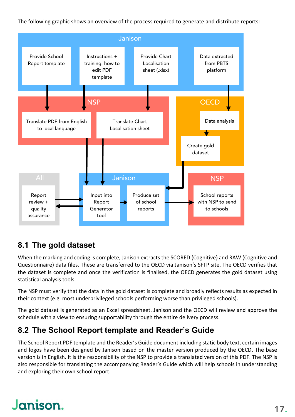The following graphic shows an overview of the process required to generate and distribute reports:



### <span id="page-17-0"></span>**8.1 The gold dataset**

When the marking and coding is complete, Janison extracts the SCORED (Cognitive) and RAW (Cognitive and Questionnaire) data files. These are transferred to the OECD via Janison's SFTP site. The OECD verifies that the dataset is complete and once the verification is finalised, the OECD generates the gold dataset using statistical analysis tools.

The NSP must verify that the data in the gold dataset is complete and broadly reflects results as expected in their context (e.g. most underprivileged schools performing worse than privileged schools).

The gold dataset is generated as an Excel spreadsheet. Janison and the OECD will review and approve the schedule with a view to ensuring supportability through the entire delivery process.

### <span id="page-17-1"></span>**8.2 The School Report template and Reader's Guide**

The School Report PDF template and the Reader's Guide document including static body text, certain images and logos have been designed by Janison based on the master version produced by the OECD. The base version is in English. It is the responsibility of the NSP to provide a translated version of this PDF. The NSP is also responsible for translating the accompanying Reader's Guide which will help schools in understanding and exploring their own school report.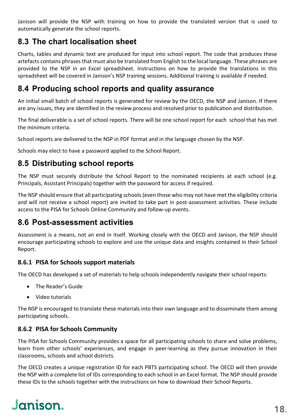Janison will provide the NSP with training on how to provide the translated version that is used to automatically generate the school reports.

### <span id="page-18-0"></span>**8.3 The chart localisation sheet**

Charts, tables and dynamic text are produced for input into school report. The code that produces these artefacts contains phrases that must also be translated from English to the local language. These phrases are provided to the NSP in an Excel spreadsheet. Instructions on how to provide the translations in this spreadsheet will be covered in Janison's NSP training sessions. Additional training is available if needed.

### <span id="page-18-1"></span>**8.4 Producing school reports and quality assurance**

An initial small batch of school reports is generated for review by the OECD, the NSP and Janison. If there are any issues, they are identified in the review process and resolved prior to publication and distribution.

The final deliverable is a set of school reports. There will be one school report for each school that has met the minimum criteria.

School reports are delivered to the NSP in PDF format and in the language chosen by the NSP.

Schools may elect to have a password applied to the School Report.

### <span id="page-18-2"></span>**8.5 Distributing school reports**

The NSP must securely distribute the School Report to the nominated recipients at each school (e.g. Principals, Assistant Principals) together with the password for access if required.

The NSP should ensure that all participating schools (even those who may not have met the eligibility criteria and will not receive a school report) are invited to take part in post-assessment activities. These include access to the PISA for Schools Online Community and follow-up events.

#### <span id="page-18-3"></span>**8.6 Post-assessment activities**

Assessment is a means, not an end in itself. Working closely with the OECD and Janison, the NSP should encourage participating schools to explore and use the unique data and insights contained in their School Report.

#### <span id="page-18-4"></span>**8.6.1 PISA for Schools support materials**

The OECD has developed a set of materials to help schools independently navigate their school reports:

- The Reader's Guide
- Video tutorials

The NSP is encouraged to translate these materials into their own language and to disseminate them among participating schools.

#### <span id="page-18-5"></span>**8.6.2 PISA for Schools Community**

The PISA for Schools Community provides a space for all participating schools to share and solve problems, learn from other schools' experiences, and engage in peer-learning as they pursue innovation in their classrooms, schools and school districts.

The OECD creates a unique registration ID for each PBTS participating school. The OECD will then provide the NSP with a complete list of IDs corresponding to each school in an Excel format. The NSP should provide these IDs to the schools together with the instructions on how to download their School Reports.